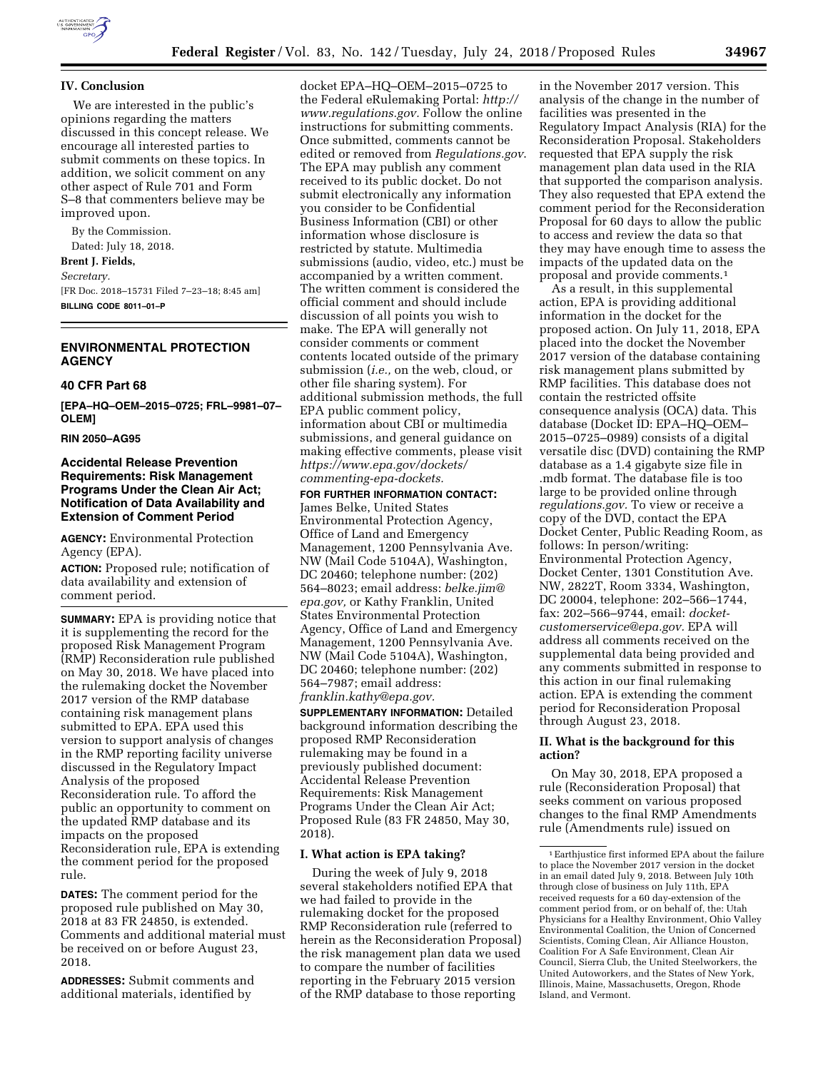

## **IV. Conclusion**

We are interested in the public's opinions regarding the matters discussed in this concept release. We encourage all interested parties to submit comments on these topics. In addition, we solicit comment on any other aspect of Rule 701 and Form S–8 that commenters believe may be improved upon.

By the Commission. Dated: July 18, 2018. **Brent J. Fields,**  *Secretary.*  [FR Doc. 2018–15731 Filed 7–23–18; 8:45 am] **BILLING CODE 8011–01–P** 

# **ENVIRONMENTAL PROTECTION AGENCY**

# **40 CFR Part 68**

**[EPA–HQ–OEM–2015–0725; FRL–9981–07– OLEM]** 

## **RIN 2050–AG95**

## **Accidental Release Prevention Requirements: Risk Management Programs Under the Clean Air Act; Notification of Data Availability and Extension of Comment Period**

**AGENCY:** Environmental Protection Agency (EPA).

**ACTION:** Proposed rule; notification of data availability and extension of comment period.

**SUMMARY:** EPA is providing notice that it is supplementing the record for the proposed Risk Management Program (RMP) Reconsideration rule published on May 30, 2018. We have placed into the rulemaking docket the November 2017 version of the RMP database containing risk management plans submitted to EPA. EPA used this version to support analysis of changes in the RMP reporting facility universe discussed in the Regulatory Impact Analysis of the proposed Reconsideration rule. To afford the public an opportunity to comment on the updated RMP database and its impacts on the proposed Reconsideration rule, EPA is extending the comment period for the proposed rule.

**DATES:** The comment period for the proposed rule published on May 30, 2018 at 83 FR 24850, is extended. Comments and additional material must be received on or before August 23, 2018.

**ADDRESSES:** Submit comments and additional materials, identified by

docket EPA–HQ–OEM–2015–0725 to the Federal eRulemaking Portal: *[http://](http://www.regulations.gov) [www.regulations.gov.](http://www.regulations.gov)* Follow the online instructions for submitting comments. Once submitted, comments cannot be edited or removed from *Regulations.gov*. The EPA may publish any comment received to its public docket. Do not submit electronically any information you consider to be Confidential Business Information (CBI) or other information whose disclosure is restricted by statute. Multimedia submissions (audio, video, etc.) must be accompanied by a written comment. The written comment is considered the official comment and should include discussion of all points you wish to make. The EPA will generally not consider comments or comment contents located outside of the primary submission (*i.e.,* on the web, cloud, or other file sharing system). For additional submission methods, the full EPA public comment policy, information about CBI or multimedia submissions, and general guidance on making effective comments, please visit *[https://www.epa.gov/dockets/](https://www.epa.gov/dockets/commenting-epa-dockets)  [commenting-epa-dockets.](https://www.epa.gov/dockets/commenting-epa-dockets)* 

## **FOR FURTHER INFORMATION CONTACT:**

James Belke, United States Environmental Protection Agency, Office of Land and Emergency Management, 1200 Pennsylvania Ave. NW (Mail Code 5104A), Washington, DC 20460; telephone number: (202) 564–8023; email address: *[belke.jim@](mailto:belke.jim@epa.gov) [epa.gov,](mailto:belke.jim@epa.gov)* or Kathy Franklin, United States Environmental Protection Agency, Office of Land and Emergency Management, 1200 Pennsylvania Ave. NW (Mail Code 5104A), Washington, DC 20460; telephone number: (202) 564–7987; email address: *[franklin.kathy@epa.gov.](mailto:franklin.kathy@epa.gov)* 

**SUPPLEMENTARY INFORMATION:** Detailed background information describing the proposed RMP Reconsideration rulemaking may be found in a previously published document: Accidental Release Prevention Requirements: Risk Management Programs Under the Clean Air Act; Proposed Rule (83 FR 24850, May 30, 2018).

### **I. What action is EPA taking?**

During the week of July 9, 2018 several stakeholders notified EPA that we had failed to provide in the rulemaking docket for the proposed RMP Reconsideration rule (referred to herein as the Reconsideration Proposal) the risk management plan data we used to compare the number of facilities reporting in the February 2015 version of the RMP database to those reporting

in the November 2017 version. This analysis of the change in the number of facilities was presented in the Regulatory Impact Analysis (RIA) for the Reconsideration Proposal. Stakeholders requested that EPA supply the risk management plan data used in the RIA that supported the comparison analysis. They also requested that EPA extend the comment period for the Reconsideration Proposal for 60 days to allow the public to access and review the data so that they may have enough time to assess the impacts of the updated data on the proposal and provide comments.1

As a result, in this supplemental action, EPA is providing additional information in the docket for the proposed action. On July 11, 2018, EPA placed into the docket the November 2017 version of the database containing risk management plans submitted by RMP facilities. This database does not contain the restricted offsite consequence analysis (OCA) data. This database (Docket ID: EPA–HQ–OEM– 2015–0725–0989) consists of a digital versatile disc (DVD) containing the RMP database as a 1.4 gigabyte size file in .mdb format. The database file is too large to be provided online through *regulations.gov.* To view or receive a copy of the DVD, contact the EPA Docket Center, Public Reading Room, as follows: In person/writing: Environmental Protection Agency, Docket Center, 1301 Constitution Ave. NW, 2822T, Room 3334, Washington, DC 20004, telephone: 202–566–1744, fax: 202–566–9744, email: *[docket](mailto:docket-customerservice@epa.gov)[customerservice@epa.gov.](mailto:docket-customerservice@epa.gov)* EPA will address all comments received on the supplemental data being provided and any comments submitted in response to this action in our final rulemaking action. EPA is extending the comment period for Reconsideration Proposal through August 23, 2018.

## **II. What is the background for this action?**

On May 30, 2018, EPA proposed a rule (Reconsideration Proposal) that seeks comment on various proposed changes to the final RMP Amendments rule (Amendments rule) issued on

<sup>1</sup>Earthjustice first informed EPA about the failure to place the November 2017 version in the docket in an email dated July 9, 2018. Between July 10th through close of business on July 11th, EPA received requests for a 60 day-extension of the comment period from, or on behalf of, the: Utah Physicians for a Healthy Environment, Ohio Valley Environmental Coalition, the Union of Concerned Scientists, Coming Clean, Air Alliance Houston, Coalition For A Safe Environment, Clean Air Council, Sierra Club, the United Steelworkers, the United Autoworkers, and the States of New York, Illinois, Maine, Massachusetts, Oregon, Rhode Island, and Vermont.